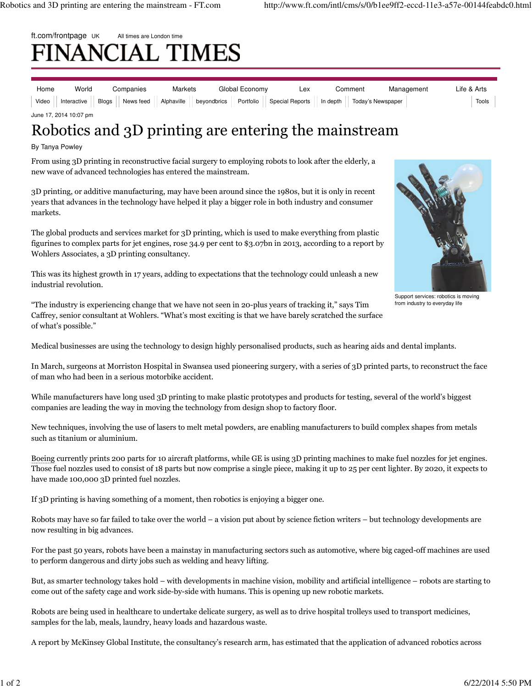# ft.com/frontpage UK All times are London time **NANCIAL TIMES**

| Home | World                  | Companies | Markets | Global Economy                                                                                                                           | Lex | Comment | Management | Life & Arts |
|------|------------------------|-----------|---------|------------------------------------------------------------------------------------------------------------------------------------------|-----|---------|------------|-------------|
|      |                        |           |         | Video    Interactive    Blogs    News feed    Alphaville    beyondbrics    Portfolio    Special Reports    In depth    Today's Newspaper |     |         |            | Tools       |
|      | June 17, 2014 10:07 pm |           |         |                                                                                                                                          |     |         |            |             |

# Robotics and 3D printing are entering the mainstream

### By Tanya Powley

From using 3D printing in reconstructive facial surgery to employing robots to look after the elderly, a new wave of advanced technologies has entered the mainstream.

3D printing, or additive manufacturing, may have been around since the 1980s, but it is only in recent years that advances in the technology have helped it play a bigger role in both industry and consumer markets.

The global products and services market for 3D printing, which is used to make everything from plastic figurines to complex parts for jet engines, rose 34.9 per cent to \$3.07bn in 2013, according to a report by Wohlers Associates, a 3D printing consultancy.

This was its highest growth in 17 years, adding to expectations that the technology could unleash a new industrial revolution.



Support services: robotics is moving from industry to everyday life

"The industry is experiencing change that we have not seen in 20-plus years of tracking it," says Tim Caffrey, senior consultant at Wohlers. "What's most exciting is that we have barely scratched the surface of what's possible."

Medical businesses are using the technology to design highly personalised products, such as hearing aids and dental implants.

In March, surgeons at Morriston Hospital in Swansea used pioneering surgery, with a series of 3D printed parts, to reconstruct the face of man who had been in a serious motorbike accident.

While manufacturers have long used 3D printing to make plastic prototypes and products for testing, several of the world's biggest companies are leading the way in moving the technology from design shop to factory floor.

New techniques, involving the use of lasers to melt metal powders, are enabling manufacturers to build complex shapes from metals such as titanium or aluminium.

Boeing currently prints 200 parts for 10 aircraft platforms, while GE is using 3D printing machines to make fuel nozzles for jet engines. Those fuel nozzles used to consist of 18 parts but now comprise a single piece, making it up to 25 per cent lighter. By 2020, it expects to have made 100,000 3D printed fuel nozzles.

If 3D printing is having something of a moment, then robotics is enjoying a bigger one.

Robots may have so far failed to take over the world – a vision put about by science fiction writers – but technology developments are now resulting in big advances.

For the past 50 years, robots have been a mainstay in manufacturing sectors such as automotive, where big caged-off machines are used to perform dangerous and dirty jobs such as welding and heavy lifting.

But, as smarter technology takes hold – with developments in machine vision, mobility and artificial intelligence – robots are starting to come out of the safety cage and work side-by-side with humans. This is opening up new robotic markets.

Robots are being used in healthcare to undertake delicate surgery, as well as to drive hospital trolleys used to transport medicines, samples for the lab, meals, laundry, heavy loads and hazardous waste.

A report by McKinsey Global Institute, the consultancy's research arm, has estimated that the application of advanced robotics across